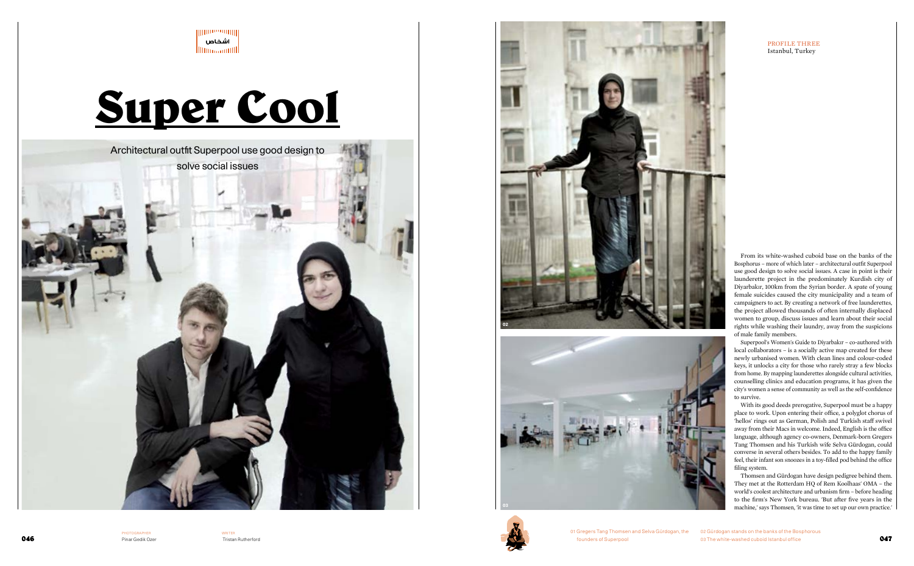**WRITER** Tristan Rutherford

PHOTOGRAPHER Pinar Gedik Ozer

## Istanbul, Turkey



## **Super Cool**



From its white-washed cuboid base on the banks of the Bosphorus – more of which later – architectural outfit Superpool use good design to solve social issues. A case in point is their launderette project in the predominately Kurdish city of Diyarbakir, 100km from the Syrian border. A spate of young female suicides caused the city municipality and a team of campaigners to act. By creating a network of free launderettes, the project allowed thousands of often internally displaced women to group, discuss issues and learn about their social rights while washing their laundry, away from the suspicions of male family members.



Superpool's Women's Guide to Diyarbakir – co-authored with local collaborators – is a socially active map created for these newly urbanised women. With clean lines and colour-coded keys, it unlocks a city for those who rarely stray a few blocks from home. By mapping launderettes alongside cultural activities, counselling clinics and education programs, it has given the city's women a sense of community as well as the self-confidence to survive.

With its good deeds prerogative, Superpool must be a happy place to work. Upon entering their office, a polyglot chorus of 'hellos' rings out as German, Polish and Turkish staff swivel away from their Macs in welcome. Indeed, English is the office language, although agency co-owners, Denmark-born Gregers Tang Thomsen and his Turkish wife Selva Gürdogan, could converse in several others besides. To add to the happy family feel, their infant son snoozes in a toy-filled pod behind the office filing system.

Thomsen and Gürdogan have design pedigree behind them. They met at the Rotterdam HQ of Rem Koolhaas' OMA – the world's coolest architecture and urbanism firm – before heading to the firm's New York bureau. 'But after five years in the machine,' says Thomsen, 'it was time to set up our own practice.'



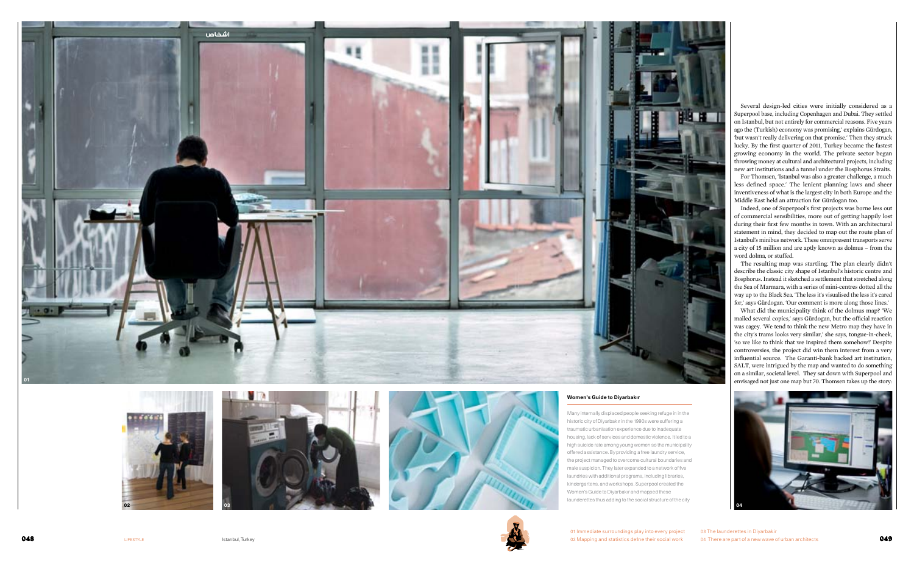

Many internally displaced people seeking refuge in in the historic city of Diyarbakır in the 1990s were suffering a traumatic urbanisation experience due to inadequate housing, lack of services and domestic violence. It led to a high suicide rate among young women so the municipality offered assistance. By providing a free laundry service, the project managed to overcome cultural boundaries and male suspicion. They later expanded to a network of five laundries with additional programs, including libraries, kindergartens, and workshops. Superpool created the Women's Guide to Diyarbakır and mapped these launderettes thus adding to the social structure of the city



Several design-led cities were initially considered as a Superpool base, including Copenhagen and Dubai. They settled on Istanbul, but not entirely for commercial reasons. Five years ago the (Turkish) economy was promising,' explains Gürdogan, 'but wasn't really delivering on that promise.' Then they struck lucky. By the first quarter of 2011, Turkey became the fastest growing economy in the world. The private sector began throwing money at cultural and architectural projects, including new art institutions and a tunnel under the Bosphorus Straits. For Thomsen, 'Istanbul was also a greater challenge, a much

What did the municipality think of the dolmus map? 'We mailed several copies,' says Gürdogan, but the official reaction was cagey. 'We tend to think the new Metro map they have in the city's trams looks very similar,' she says, tongue-in-cheek, 'so we like to think that we inspired them somehow!' Despite controversies, the project did win them interest from a very influential source. The Garanti-bank backed art institution, SA LT, were intrigued by the map and wanted to do something on a similar, societal level. They sat down with Superpool and envisaged not just one map but 70. Thomsen takes up the story:



less defined space.' The lenient planning laws and sheer inventiveness of what is the largest city in both Europe and the Middle East held an attraction for Gürdogan too.









Indeed, one of Superpool's first projects was borne less out of commercial sensibilities, more out of getting happily lost during their first few months in town. With an architectural statement in mind, they decided to map out the route plan of Istanbul's minibus network. These omnipresent transports serve a city of 15 million and are aptly known as dolmus – from the word dolma, or stuffed.

The resulting map was startling. The plan clearly didn't describe the classic city shape of Istanbul's historic centre and Bosphorus. Instead it sketched a settlement that stretched along the Sea of Marmara, with a series of mini-centres dotted all the way up to the Black Sea. 'The less it's visualised the less it's cared for,' says Gürdogan. ' Our comment is more along those lines.'